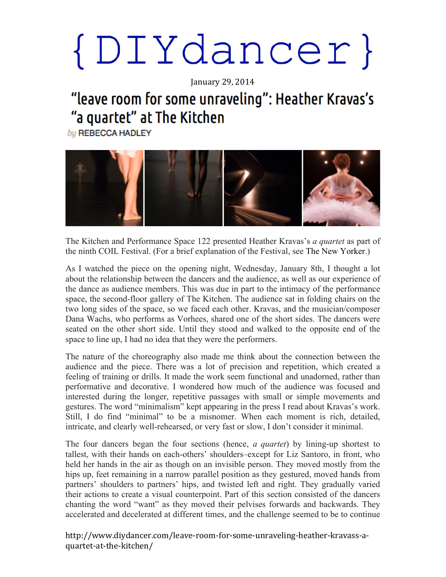## $\{D I Y d a n c e r\}$

January 29, 2014

### "leave room for some unraveling": Heather Kravas's "a quartet" at The Kitchen

by REBECCA HADLEY



The Kitchen and Performance Space 122 presented Heather Kravas's *a quartet* as part of the ninth COIL Festival. (For a brief explanation of the Festival, see The New Yorker.)

As I watched the piece on the opening night, Wednesday, January 8th, I thought a lot about the relationship between the dancers and the audience, as well as our experience of the dance as audience members. This was due in part to the intimacy of the performance space, the second-floor gallery of The Kitchen. The audience sat in folding chairs on the two long sides of the space, so we faced each other. Kravas, and the musician/composer Dana Wachs, who performs as Vorhees, shared one of the short sides. The dancers were seated on the other short side. Until they stood and walked to the opposite end of the space to line up, I had no idea that they were the performers.

The nature of the choreography also made me think about the connection between the audience and the piece. There was a lot of precision and repetition, which created a feeling of training or drills. It made the work seem functional and unadorned, rather than performative and decorative. I wondered how much of the audience was focused and interested during the longer, repetitive passages with small or simple movements and gestures. The word "minimalism" kept appearing in the press I read about Kravas's work. Still, I do find "minimal" to be a misnomer. When each moment is rich, detailed, intricate, and clearly well-rehearsed, or very fast or slow, I don't consider it minimal.

The four dancers began the four sections (hence, *a quartet*) by lining-up shortest to tallest, with their hands on each-others' shoulders–except for Liz Santoro, in front, who held her hands in the air as though on an invisible person. They moved mostly from the hips up, feet remaining in a narrow parallel position as they gestured, moved hands from partners' shoulders to partners' hips, and twisted left and right. They gradually varied their actions to create a visual counterpoint. Part of this section consisted of the dancers chanting the word "want" as they moved their pelvises forwards and backwards. They accelerated and decelerated at different times, and the challenge seemed to be to continue

http://www.diydancer.com/leave-room-for-some-unraveling-heather-kravass-aquartet-at-the-kitchen/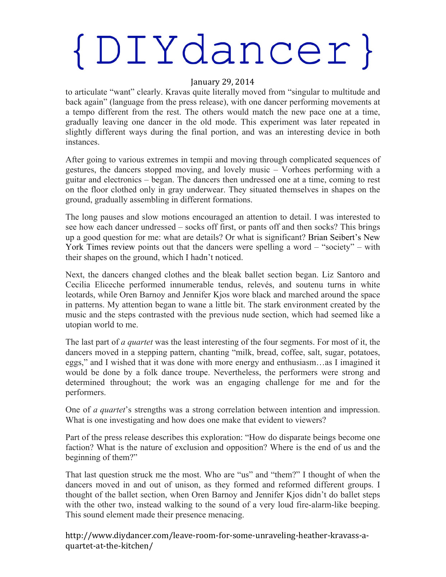## $\{DIYdancer\}$

#### January 29, 2014

to articulate "want" clearly. Kravas quite literally moved from "singular to multitude and back again" (language from the press release), with one dancer performing movements at a tempo different from the rest. The others would match the new pace one at a time, gradually leaving one dancer in the old mode. This experiment was later repeated in slightly different ways during the final portion, and was an interesting device in both instances.

After going to various extremes in tempii and moving through complicated sequences of gestures, the dancers stopped moving, and lovely music – Vorhees performing with a guitar and electronics – began. The dancers then undressed one at a time, coming to rest on the floor clothed only in gray underwear. They situated themselves in shapes on the ground, gradually assembling in different formations.

The long pauses and slow motions encouraged an attention to detail. I was interested to see how each dancer undressed – socks off first, or pants off and then socks? This brings up a good question for me: what are details? Or what is significant? Brian Seibert's New York Times review points out that the dancers were spelling a word – "society" – with their shapes on the ground, which I hadn't noticed.

Next, the dancers changed clothes and the bleak ballet section began. Liz Santoro and Cecilia Eliceche performed innumerable tendus, relevés, and soutenu turns in white leotards, while Oren Barnoy and Jennifer Kjos wore black and marched around the space in patterns. My attention began to wane a little bit. The stark environment created by the music and the steps contrasted with the previous nude section, which had seemed like a utopian world to me.

The last part of *a quartet* was the least interesting of the four segments. For most of it, the dancers moved in a stepping pattern, chanting "milk, bread, coffee, salt, sugar, potatoes, eggs," and I wished that it was done with more energy and enthusiasm…as I imagined it would be done by a folk dance troupe. Nevertheless, the performers were strong and determined throughout; the work was an engaging challenge for me and for the performers.

One of *a quartet*'s strengths was a strong correlation between intention and impression. What is one investigating and how does one make that evident to viewers?

Part of the press release describes this exploration: "How do disparate beings become one faction? What is the nature of exclusion and opposition? Where is the end of us and the beginning of them?"

That last question struck me the most. Who are "us" and "them?" I thought of when the dancers moved in and out of unison, as they formed and reformed different groups. I thought of the ballet section, when Oren Barnoy and Jennifer Kjos didn't do ballet steps with the other two, instead walking to the sound of a very loud fire-alarm-like beeping. This sound element made their presence menacing.

http://www.diydancer.com/leave-room-for-some-unraveling-heather-kravass-aquartet-at-the-kitchen/